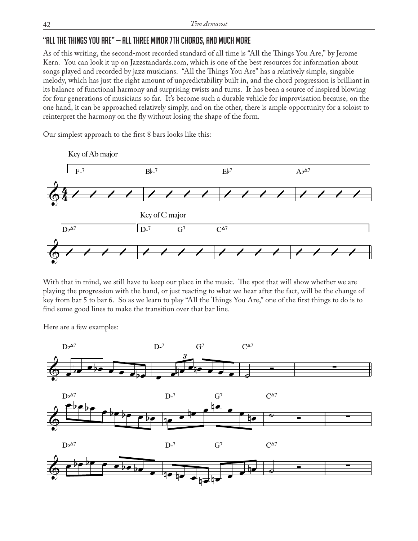## "All the Things You Are" — All three Minor 7th Chords, and Much More

As of this writing, the second-most recorded standard of all time is "All the Things You Are," by Jerome Kern. You can look it up on Jazzstandards.com, which is one of the best resources for information about songs played and recorded by jazz musicians. "All the Things You Are" has a relatively simple, singable melody, which has just the right amount of unpredictability built in, and the chord progression is brilliant in its balance of functional harmony and surprising twists and turns. It has been a source of inspired blowing for four generations of musicians so far. It's become such a durable vehicle for improvisation because, on the one hand, it can be approached relatively simply, and on the other, there is ample opportunity for a soloist to reinterpret the harmony on the fly without losing the shape of the form.

Our simplest approach to the first 8 bars looks like this:



With that in mind, we still have to keep our place in the music. The spot that will show whether we are playing the progression with the band, or just reacting to what we hear after the fact, will be the change of key from bar 5 to bar 6. So as we learn to play "All the Things You Are," one of the first things to do is to find some good lines to make the transition over that bar line.

Here are a few examples: